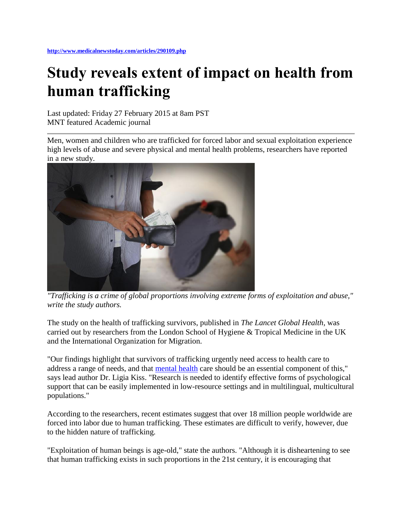## **Study reveals extent of impact on health from human trafficking**

Last updated: Friday 27 February 2015 at 8am PST MNT featured Academic journal

Men, women and children who are trafficked for forced labor and sexual exploitation experience high levels of abuse and severe physical and mental health problems, researchers have reported in a new study.



*"Trafficking is a crime of global proportions involving extreme forms of exploitation and abuse," write the study authors.*

The study on the health of trafficking survivors, published in *The Lancet Global Health*, was carried out by researchers from the London School of Hygiene & Tropical Medicine in the UK and the International Organization for Migration.

"Our findings highlight that survivors of trafficking urgently need access to health care to address a range of needs, and that [mental health](http://www.medicalnewstoday.com/articles/154543.php) care should be an essential component of this," says lead author Dr. Ligia Kiss. "Research is needed to identify effective forms of psychological support that can be easily implemented in low-resource settings and in multilingual, multicultural populations."

According to the researchers, recent estimates suggest that over 18 million people worldwide are forced into labor due to human trafficking. These estimates are difficult to verify, however, due to the hidden nature of trafficking.

"Exploitation of human beings is age-old," state the authors. "Although it is disheartening to see that human trafficking exists in such proportions in the 21st century, it is encouraging that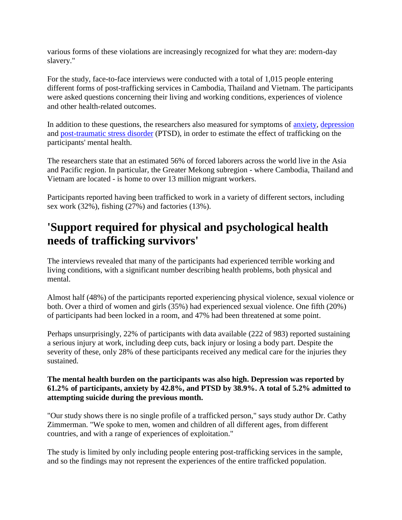various forms of these violations are increasingly recognized for what they are: modern-day slavery."

For the study, face-to-face interviews were conducted with a total of 1,015 people entering different forms of post-trafficking services in Cambodia, Thailand and Vietnam. The participants were asked questions concerning their living and working conditions, experiences of violence and other health-related outcomes.

In addition to these questions, the researchers also measured for symptoms of [anxiety,](http://www.medicalnewstoday.com/info/anxiety/) [depression](http://www.medicalnewstoday.com/articles/8933.php) and [post-traumatic stress disorder](http://www.medicalnewstoday.com/articles/156285.php) (PTSD), in order to estimate the effect of trafficking on the participants' mental health.

The researchers state that an estimated 56% of forced laborers across the world live in the Asia and Pacific region. In particular, the Greater Mekong subregion - where Cambodia, Thailand and Vietnam are located - is home to over 13 million migrant workers.

Participants reported having been trafficked to work in a variety of different sectors, including sex work (32%), fishing (27%) and factories (13%).

## **'Support required for physical and psychological health needs of trafficking survivors'**

The interviews revealed that many of the participants had experienced terrible working and living conditions, with a significant number describing health problems, both physical and mental.

Almost half (48%) of the participants reported experiencing physical violence, sexual violence or both. Over a third of women and girls (35%) had experienced sexual violence. One fifth (20%) of participants had been locked in a room, and 47% had been threatened at some point.

Perhaps unsurprisingly, 22% of participants with data available (222 of 983) reported sustaining a serious injury at work, including deep cuts, back injury or losing a body part. Despite the severity of these, only 28% of these participants received any medical care for the injuries they sustained.

## **The mental health burden on the participants was also high. Depression was reported by 61.2% of participants, anxiety by 42.8%, and PTSD by 38.9%. A total of 5.2% admitted to attempting suicide during the previous month.**

"Our study shows there is no single profile of a trafficked person," says study author Dr. Cathy Zimmerman. "We spoke to men, women and children of all different ages, from different countries, and with a range of experiences of exploitation."

The study is limited by only including people entering post-trafficking services in the sample, and so the findings may not represent the experiences of the entire trafficked population.